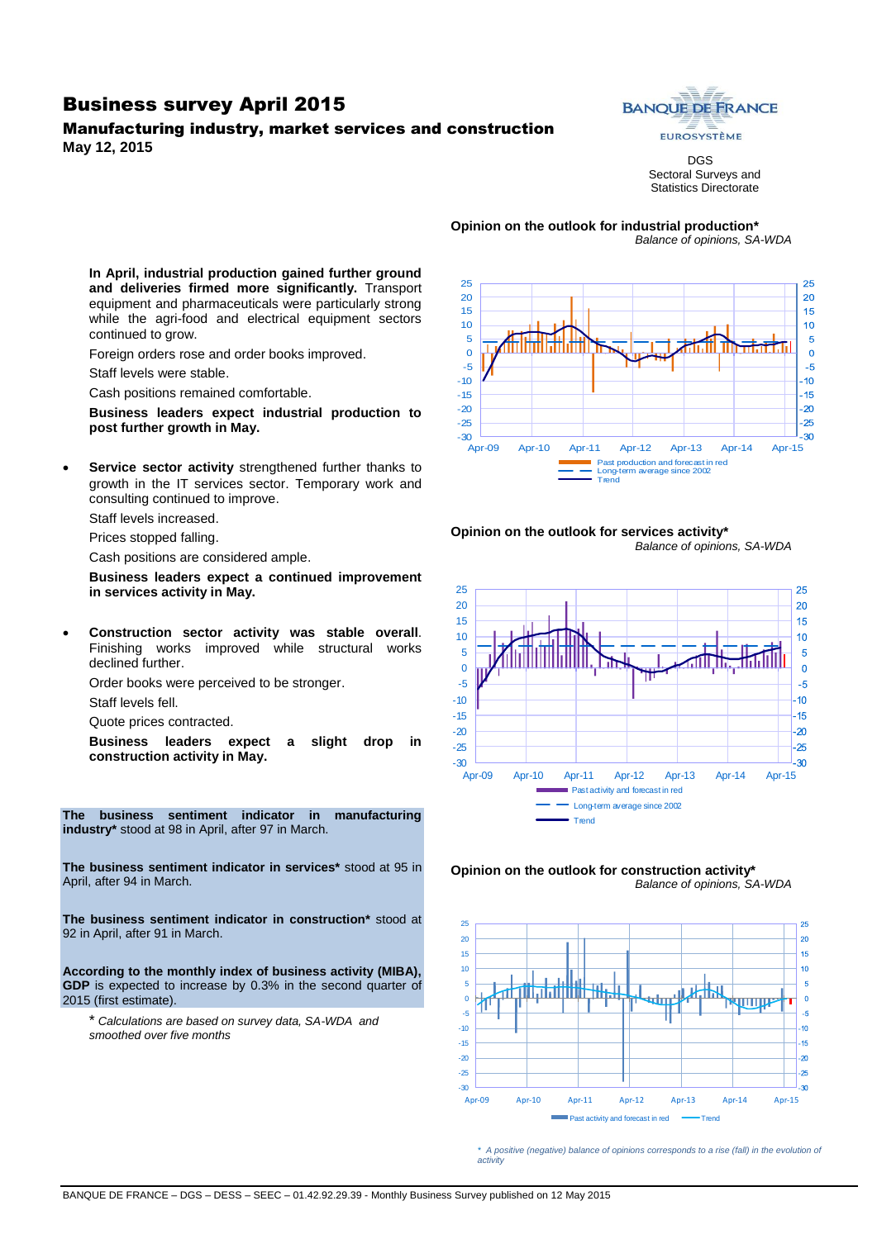### Business survey April 2015

# Manufacturing industry, market services and construction

**May 12, 2015**



DGS Sectoral Surveys and Statistics Directorate

**Opinion on the outlook for industrial production\*** *Balance of opinions, SA-WDA*

**In April, industrial production gained further ground and deliveries firmed more significantly.** Transport equipment and pharmaceuticals were particularly strong while the agri-food and electrical equipment sectors continued to grow.

Foreign orders rose and order books improved.

Staff levels were stable.

Cash positions remained comfortable.

**Business leaders expect industrial production to post further growth in May.**

 **Service sector activity** strengthened further thanks to growth in the IT services sector. Temporary work and consulting continued to improve.

Staff levels increased.

Prices stopped falling.

Cash positions are considered ample.

**Business leaders expect a continued improvement in services activity in May.**

 **Construction sector activity was stable overall**. Finishing works improved while structural works declined further.

Order books were perceived to be stronger.

Staff levels fell.

Quote prices contracted.

**Business leaders expect a slight drop in construction activity in May.**

**The business sentiment indicator in manufacturing industry\*** stood at 98 in April, after 97 in March.

**The business sentiment indicator in services\*** stood at 95 in April, after 94 in March.

**The business sentiment indicator in construction\*** stood at 92 in April, after 91 in March.

**According to the monthly index of business activity (MIBA), GDP** is expected to increase by 0.3% in the second quarter of 2015 (first estimate).

\* *Calculations are based on survey data, SA-WDA and smoothed over five months*











*\* A positive (negative) balance of opinions corresponds to a rise (fall) in the evolution of activity*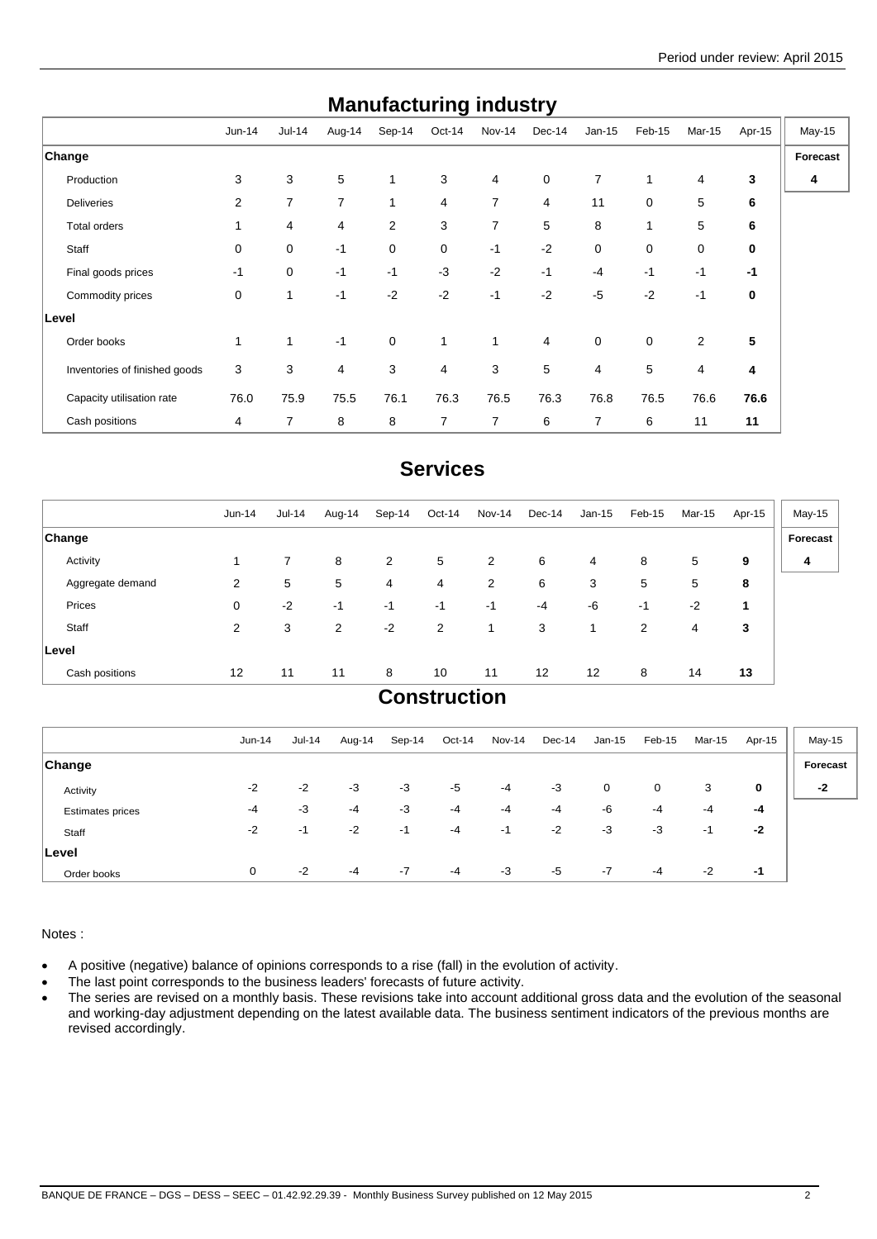| manurautunny muusti y         |             |                |                |                |                |                |                |          |             |                |        |          |
|-------------------------------|-------------|----------------|----------------|----------------|----------------|----------------|----------------|----------|-------------|----------------|--------|----------|
|                               | Jun-14      | <b>Jul-14</b>  | Aug-14         | Sep-14         | Oct-14         | Nov-14         | Dec-14         | $Jan-15$ | Feb-15      | Mar-15         | Apr-15 | May-15   |
| Change                        |             |                |                |                |                |                |                |          |             |                |        | Forecast |
| Production                    | 3           | 3              | 5              | $\mathbf{1}$   | 3              | 4              | $\mathbf 0$    | 7        | 1           | 4              | 3      | 4        |
| <b>Deliveries</b>             | 2           | $\overline{7}$ | $\overline{7}$ | 1              | 4              | $\overline{7}$ | $\overline{4}$ | 11       | $\mathbf 0$ | 5              | 6      |          |
| Total orders                  | 1           | 4              | 4              | $\overline{2}$ | 3              | $\overline{7}$ | 5              | 8        | 1           | 5              | 6      |          |
| Staff                         | $\mathbf 0$ | $\mathbf 0$    | $-1$           | 0              | 0              | $-1$           | $-2$           | 0        | $\mathbf 0$ | $\mathbf 0$    | 0      |          |
| Final goods prices            | $-1$        | 0              | $-1$           | $-1$           | $-3$           | $-2$           | $-1$           | $-4$     | $-1$        | $-1$           | $-1$   |          |
| Commodity prices              | 0           | $\mathbf{1}$   | $-1$           | $-2$           | $-2$           | $-1$           | $-2$           | $-5$     | $-2$        | $-1$           | 0      |          |
| Level                         |             |                |                |                |                |                |                |          |             |                |        |          |
| Order books                   | 1           | $\mathbf{1}$   | $-1$           | $\mathbf 0$    | 1              | 1              | $\overline{4}$ | 0        | $\mathbf 0$ | 2              | 5      |          |
| Inventories of finished goods | 3           | 3              | 4              | 3              | $\overline{4}$ | 3              | 5              | 4        | 5           | $\overline{4}$ | 4      |          |
| Capacity utilisation rate     | 76.0        | 75.9           | 75.5           | 76.1           | 76.3           | 76.5           | 76.3           | 76.8     | 76.5        | 76.6           | 76.6   |          |
| Cash positions                | 4           | $\overline{7}$ | 8              | 8              | 7              | 7              | 6              | 7        | 6           | 11             | 11     |          |

# **Manufacturing industry**

# **Services**

|                  | $Jun-14$ | $Jul-14$       | Aug-14 | Sep-14 | Oct-14         | <b>Nov-14</b>  | Dec-14            | Jan-15 | Feb-15 | Mar-15 | Apr-15 | May-15   |
|------------------|----------|----------------|--------|--------|----------------|----------------|-------------------|--------|--------|--------|--------|----------|
| <b>Change</b>    |          |                |        |        |                |                |                   |        |        |        |        | Forecast |
| Activity         |          | $\overline{7}$ | 8      | 2      | 5              | 2              | 6                 | 4      | 8      | 5      | 9      | 4        |
| Aggregate demand | 2        | 5              | 5      | 4      | 4              | $\overline{2}$ | 6                 | 3      | 5      | 5      | 8      |          |
| Prices           | 0        | $-2$           | -1     | -1     | $-1$           | $-1$           | $-4$              | -6     | -1     | $-2$   | 1      |          |
| Staff            | 2        | 3              | 2      | $-2$   | $\overline{2}$ | 1              | 3                 | 1      | 2      | 4      | 3      |          |
| Level            |          |                |        |        |                |                |                   |        |        |        |        |          |
| Cash positions   | 12       | 11             | 11     | 8      | 10             | 11             | $12 \overline{ }$ | 12     | 8      | 14     | 13     |          |

### **Construction**

|                         | $Jun-14$ | $Jul-14$ | Aug-14 | Sep-14 | Oct-14 | Nov-14 | Dec-14 | $Jan-15$ | Feb-15 | Mar-15 | Apr-15 | $May-15$ |
|-------------------------|----------|----------|--------|--------|--------|--------|--------|----------|--------|--------|--------|----------|
| <b>Change</b>           |          |          |        |        |        |        |        |          |        |        |        | Forecast |
| Activity                | $-2$     | $-2$     | $-3$   | $-3$   | $-5$   | -4     | $-3$   | 0        | 0      | 3      | 0      | $-2$     |
| <b>Estimates prices</b> | -4       | $-3$     | -4     | $-3$   | $-4$   | -4     | $-4$   | -6       | -4     | $-4$   | -4     |          |
| Staff                   | $-2$     | $-1$     | $-2$   | $-1$   | -4     | -1     | $-2$   | -3       | -3     | -1     | $-2$   |          |
| ∣Level                  |          |          |        |        |        |        |        |          |        |        |        |          |
| Order books             | 0        | $-2$     | $-4$   | $-7$   | $-4$   | $-3$   | $-5$   | $-7$     | $-4$   | $-2$   | -1     |          |

Notes :

- A positive (negative) balance of opinions corresponds to a rise (fall) in the evolution of activity.
- The last point corresponds to the business leaders' forecasts of future activity.
- The series are revised on a monthly basis. These revisions take into account additional gross data and the evolution of the seasonal and working-day adjustment depending on the latest available data. The business sentiment indicators of the previous months are revised accordingly.